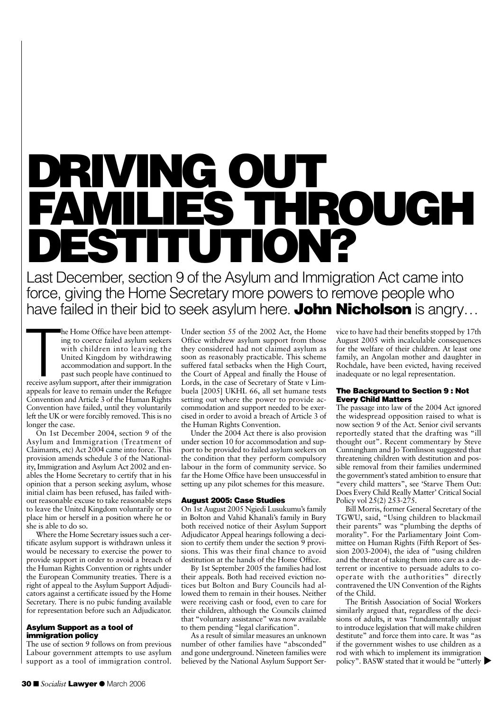# **DRIVING OUT FAMILIES THROUGH DESTITUTION?**

Last December, section 9 of the Asylum and Immigration Act came into force, giving the Home Secretary more powers to remove people who have failed in their bid to seek asylum here. **John Nicholson** is angry…

The Home Office have been attempting to coerce failed asylum seekers<br>with children into leaving the<br>United Kingdom by withdrawing<br>accommodation and support. In the<br>past such people have continued to<br>receive asylum support, he Home Office have been attempting to coerce failed asylum seekers with children into leaving the United Kingdom by withdrawing accommodation and support. In the past such people have continued to appeals for leave to remain under the Refugee Convention and Article 3 of the Human Rights Convention have failed, until they voluntarily left the UK or were forcibly removed. This is no longer the case.

On 1st December 2004, section 9 of the Asylum and Immigration (Treatment of Claimants, etc) Act 2004 came into force. This provision amends schedule 3 of the Nationality, Immigration and Asylum Act 2002 and enables the Home Secretary to certify that in his opinion that a person seeking asylum, whose initial claim has been refused, has failed without reasonable excuse to take reasonable steps to leave the United Kingdom voluntarily or to place him or herself in a position where he or she is able to do so.

Where the Home Secretary issues such a certificate asylum support is withdrawn unless it would be necessary to exercise the power to provide support in order to avoid a breach of the Human Rights Convention or rights under the European Community treaties. There is a right of appeal to the Asylum Support Adjudicators against a certificate issued by the Home Secretary. There is no pubic funding available for representation before such an Adjudicator.

## **Asylum Support as a tool of immigration policy**

The use of section 9 follows on from previous Labour government attempts to use asylum support as a tool of immigration control. Under section 55 of the 2002 Act, the Home Office withdrew asylum support from those they considered had not claimed asylum as soon as reasonably practicable. This scheme suffered fatal setbacks when the High Court, the Court of Appeal and finally the House of Lords, in the case of Secretary of State v Limbuela [2005] UKHL 66, all set humane tests setting out where the power to provide accommodation and support needed to be exercised in order to avoid a breach of Article 3 of the Human Rights Convention.

Under the 2004 Act there is also provision under section 10 for accommodation and support to be provided to failed asylum seekers on the condition that they perform compulsory labour in the form of community service. So far the Home Office have been unsuccessful in setting up any pilot schemes for this measure.

# **August 2005: Case Studies**

On 1st August 2005 Ngiedi Lusukumu's family in Bolton and Vahid Khanali's family in Bury both received notice of their Asylum Support Adjudicator Appeal hearings following a decision to certify them under the section 9 provisions. This was their final chance to avoid destitution at the hands of the Home Office.

By 1st September 2005 the families had lost their appeals. Both had received eviction notices but Bolton and Bury Councils had allowed them to remain in their houses. Neither were receiving cash or food, even to care for their children, although the Councils claimed that "voluntary assistance" was now available to them pending "legal clarification".

As a result of similar measures an unknown number of other families have "absconded" and gone underground. Nineteen families were believed by the National Asylum Support Ser-

vice to have had their benefits stopped by 17th August 2005 with incalculable consequences for the welfare of their children. At least one family, an Angolan mother and daughter in Rochdale, have been evicted, having received inadequate or no legal representation.

## **The Background to Section 9 : Not Every Child Matters**

The passage into law of the 2004 Act ignored the widespread opposition raised to what is now section 9 of the Act. Senior civil servants reportedly stated that the drafting was "ill thought out". Recent commentary by Steve Cunningham and Jo Tomlinson suggested that threatening children with destitution and possible removal from their families undermined the government's stated ambition to ensure that "every child matters", see 'Starve Them Out: Does Every Child Really Matter' Critical Social Policy vol 25(2) 253-275.

Bill Morris, former General Secretary of the TGWU, said, "Using children to blackmail their parents" was "plumbing the depths of morality". For the Parliamentary Joint Committee on Human Rights (Fifth Report of Session 2003-2004), the idea of "using children and the threat of taking them into care as a deterrent or incentive to persuade adults to cooperate with the authorities" directly contravened the UN Convention of the Rights of the Child.

policy". BASW stated that it would be "utterly The British Association of Social Workers similarly argued that, regardless of the decisions of adults, it was "fundamentally unjust to introduce legislation that will make children destitute" and force them into care. It was "as if the government wishes to use children as a rod with which to implement its immigration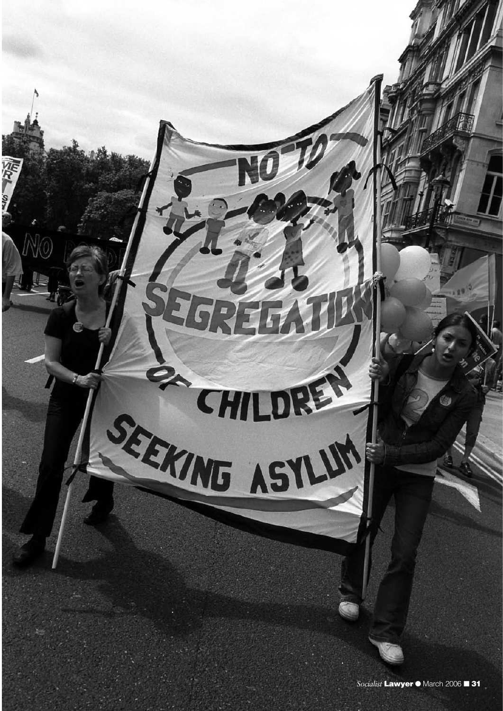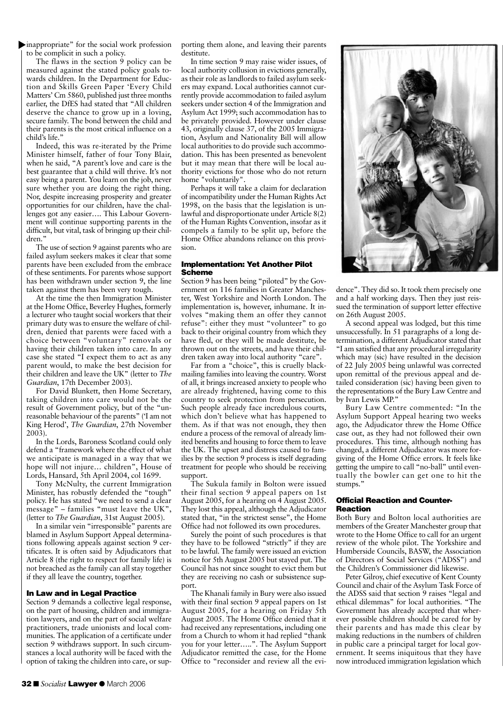inappropriate" for the social work profession ▲to be complicit in such a policy.

The flaws in the section  $\frac{9}{2}$  policy can be measured against the stated policy goals towards children. In the Department for Eduction and Skills Green Paper 'Every Child Matters' Cm 5860, published just three months earlier, the DfES had stated that "All children deserve the chance to grow up in a loving, secure family. The bond between the child and their parents is the most critical influence on a child's life.'

Indeed, this was re-iterated by the Prime Minister himself, father of four Tony Blair, when he said, "A parent's love and care is the best guarantee that a child will thrive. It's not easy being a parent. You learn on the job, never sure whether you are doing the right thing. Nor, despite increasing prosperity and greater opportunities for our children, have the challenges got any easier…. This Labour Government will continue supporting parents in the difficult, but vital, task of bringing up their children."

The use of section 9 against parents who are failed asylum seekers makes it clear that some parents have been excluded from the embrace of these sentiments. For parents whose support has been withdrawn under section 9, the line taken against them has been very tough.

At the time the then Immigration Minister at the Home Office, Beverley Hughes, formerly a lecturer who taught social workers that their primary duty was to ensure the welfare of children, denied that parents were faced with a choice between "voluntary" removals or having their children taken into care. In any case she stated "I expect them to act as any parent would, to make the best decision for their children and leave the UK" (letter to *The Guardian*, 17th December 2003).

For David Blunkett, then Home Secretary, taking children into care would not be the result of Government policy, but of the "unreasonable behaviour of the parents" ('I am not King Herod', *The Guardian*, 27th November 2003).

In the Lords, Baroness Scotland could only defend a "framework where the effect of what we anticipate is managed in a way that we hope will not injure... children", House of Lords, Hansard, 5th April 2004, col 1699.

Tony McNulty, the current Immigration Minister, has robustly defended the "tough" policy. He has stated "we need to send a clear message" – families "must leave the UK", (letter to *The Guardian*, 31st August 2005).

In a similar vein "irresponsible" parents are blamed in Asylum Support Appeal determinations following appeals against section 9 certificates. It is often said by Adjudicators that Article 8 (the right to respect for family life) is not breached as the family can all stay together if they all leave the country, together.

### **In Law and in Legal Practice**

Section 9 demands a collective legal response, on the part of housing, children and immigration lawyers, and on the part of social welfare practitioners, trade unionists and local communities. The application of a certificate under section 9 withdraws support. In such circumstances a local authority will be faced with the option of taking the children into care, or supporting them alone, and leaving their parents destitute.

In time section 9 may raise wider issues, of local authority collusion in evictions generally, as their role as landlords to failed asylum seekers may expand. Local authorities cannot currently provide accommodation to failed asylum seekers under section 4 of the Immigration and Asylum Act 1999; such accommodation has to be privately provided. However under clause 43, originally clause 37, of the 2005 Immigration, Asylum and Nationality Bill will allow local authorities to do provide such accommodation. This has been presented as benevolent but it may mean that there will be local authority evictions for those who do not return home "voluntarily".

Perhaps it will take a claim for declaration of incompatibility under the Human Rights Act 1998, on the basis that the legislation is unlawful and disproportionate under Article 8(2) of the Human Rights Convention, insofar as it compels a family to be split up, before the Home Office abandons reliance on this provision.

# **Implementation: Yet Another Pilot Scheme**

Section 9 has been being "piloted" by the Government on 116 families in Greater Manchester, West Yorkshire and North London. The implementation is, however, inhumane. It involves "making them an offer they cannot refuse": either they must "volunteer" to go back to their original country from which they have fled, or they will be made destitute, be thrown out on the streets, and have their children taken away into local authority "care".

Far from a "choice", this is cruelly blackmailing families into leaving the country. Worst of all, it brings increased anxiety to people who are already frightened, having come to this country to seek protection from persecution. Such people already face incredulous courts, which don't believe what has happened to them. As if that was not enough, they then endure a process of the removal of already limited benefits and housing to force them to leave the UK. The upset and distress caused to families by the section 9 process is itself degrading treatment for people who should be receiving support.

The Sukula family in Bolton were issued their final section 9 appeal papers on 1st August 2005, for a hearing on 4 August 2005. They lost this appeal, although the Adjudicator stated that, "in the strictest sense", the Home Office had not followed its own procedures.

Surely the point of such procedures is that they have to be followed "strictly" if they are to be lawful. The family were issued an eviction notice for 5th August 2005 but stayed put. The Council has not since sought to evict them but they are receiving no cash or subsistence support.

The Khanali family in Bury were also issued with their final section 9 appeal papers on 1st August 2005, for a hearing on Friday 5th August 2005. The Home Office denied that it had received any representations, including one from a Church to whom it had replied "thank you for your letter…..". The Asylum Support Adjudicator remitted the case, for the Home Office to "reconsider and review all the evi-



dence". They did so. It took them precisely one and a half working days. Then they just reissued the termination of support letter effective on 26th August 2005.

A second appeal was lodged, but this time unsuccessfully. In 51 paragraphs of a long determination, a different Adjudicator stated that "I am satisfied that any procedural irregularity which may (sic) have resulted in the decision of 22 July 2005 being unlawful was corrected upon remittal of the previous appeal and detailed consideration (sic) having been given to the representations of the Bury Law Centre and by Ivan Lewis MP."

Bury Law Centre commented: "In the Asylum Support Appeal hearing two weeks ago, the Adjudicator threw the Home Office case out, as they had not followed their own procedures. This time, although nothing has changed, a different Adjudicator was more forgiving of the Home Office errors. It feels like getting the umpire to call "no-ball" until eventually the bowler can get one to hit the stumps."

### **Official Reaction and Counter-Reaction**

Both Bury and Bolton local authorities are members of the Greater Manchester group that wrote to the Home Office to call for an urgent review of the whole pilot. The Yorkshire and Humberside Councils, BASW, the Association of Directors of Social Services ("ADSS") and the Children's Commissioner did likewise.

Peter Gilroy, chief executive of Kent County Council and chair of the Asylum Task Force of the ADSS said that section 9 raises "legal and ethical dilemmas" for local authorities. "The Government has already accepted that wherever possible children should be cared for by their parents and has made this clear by making reductions in the numbers of children in public care a principal target for local government. It seems iniquitous that they have now introduced immigration legislation which